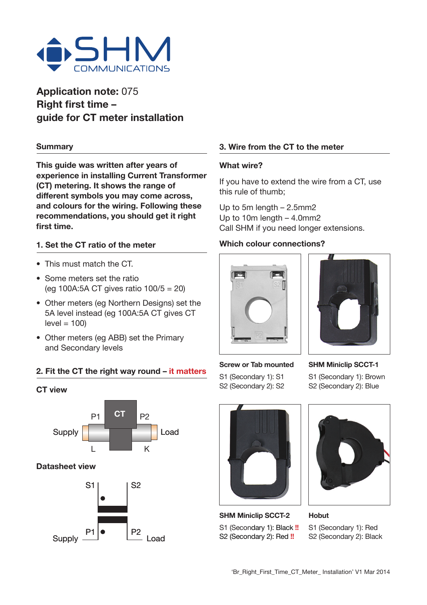

# **Application note:** 075 **Right first time – guide for CT meter installation**

#### **Summary**

**This guide was written after years of experience in installing Current Transformer (CT) metering. It shows the range of different symbols you may come across, and colours for the wiring. Following these recommendations, you should get it right first time.**

# **1. Set the CT ratio of the meter**

- This must match the CT.
- Some meters set the ratio (eg 100A:5A CT gives ratio  $100/5 = 20$ )
- Other meters (eg Northern Designs) set the 5A level instead (eg 100A:5A CT gives CT  $level = 100$
- Other meters (eg ABB) set the Primary and Secondary levels

# **2. Fit the CT the right way round – it matters**

#### **CT view**



### **Datasheet view**



## **3. Wire from the CT to the meter**

#### **What wire?**

If you have to extend the wire from a CT, use this rule of thumb;

Up to 5m length – 2.5mm2 Up to 10m length – 4.0mm2 Call SHM if you need longer extensions.

## **Which colour connections?**





**Screw or Tab mounted** S1 (Secondary 1): S1 S2 (Secondary 2): S2

**SHM Miniclip SCCT-1** S1 (Secondary 1): Brown S2 (Secondary 2): Blue



**SHM Miniclip SCCT-2** S1 (Secondary 1): Black **!!** S2 (Secondary 2): Red **!!**



**Hobut** S1 (Secondary 1): Red S2 (Secondary 2): Black